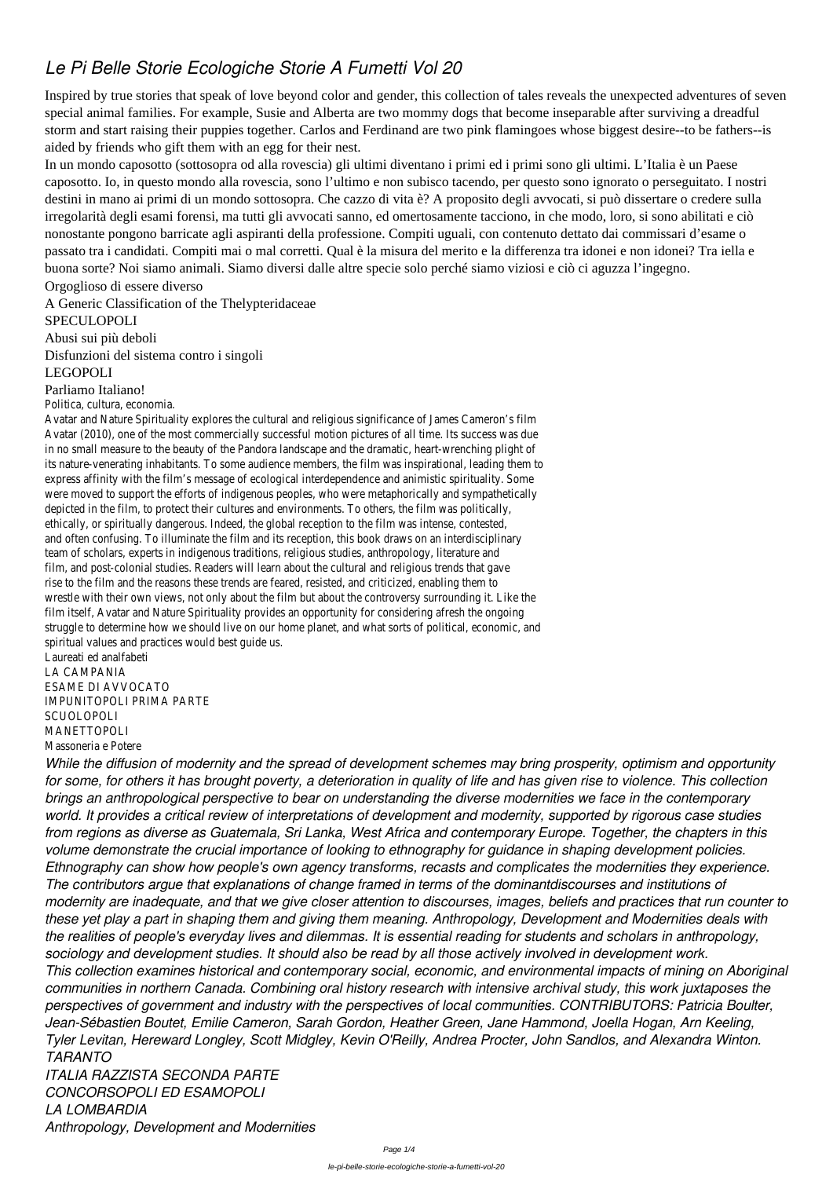## *Le Pi Belle Storie Ecologiche Storie A Fumetti Vol 20*

Inspired by true stories that speak of love beyond color and gender, this collection of tales reveals the unexpected adventures of seven special animal families. For example, Susie and Alberta are two mommy dogs that become inseparable after surviving a dreadful storm and start raising their puppies together. Carlos and Ferdinand are two pink flamingoes whose biggest desire--to be fathers--is aided by friends who gift them with an egg for their nest.

In un mondo caposotto (sottosopra od alla rovescia) gli ultimi diventano i primi ed i primi sono gli ultimi. L'Italia è un Paese caposotto. Io, in questo mondo alla rovescia, sono l'ultimo e non subisco tacendo, per questo sono ignorato o perseguitato. I nostri destini in mano ai primi di un mondo sottosopra. Che cazzo di vita è? A proposito degli avvocati, si può dissertare o credere sulla irregolarità degli esami forensi, ma tutti gli avvocati sanno, ed omertosamente tacciono, in che modo, loro, si sono abilitati e ciò nonostante pongono barricate agli aspiranti della professione. Compiti uguali, con contenuto dettato dai commissari d'esame o passato tra i candidati. Compiti mai o mal corretti. Qual è la misura del merito e la differenza tra idonei e non idonei? Tra iella e buona sorte? Noi siamo animali. Siamo diversi dalle altre specie solo perché siamo viziosi e ciò ci aguzza l'ingegno.

Orgoglioso di essere diverso

A Generic Classification of the Thelypteridaceae

SPECULOPOLI

Abusi sui più deboli Disfunzioni del sistema contro i singoli

LEGOPOLI

## Parliamo Italiano!

Politica, cultura, economia.

Avatar and Nature Spirituality explores the cultural and religious significance of James Cameron's film Avatar (2010), one of the most commercially successful motion pictures of all time. Its success was in no small measure to the beauty of the Pandora landscape and the dramatic, heart-wrenching plight its nature-venerating inhabitants. To some audience members, the film was inspirational, leading them express affinity with the film's message of ecological interdependence and animistic spirituality. Some were moved to support the efforts of indigenous peoples, who were metaphorically and sympathetically depicted in the film, to protect their cultures and environments. To others, the film was politically, ethically, or spiritually dangerous. Indeed, the global reception to the film was intense, contested, and often confusing. To illuminate the film and its reception, this book draws on an interdisciplinary team of scholars, experts in indigenous traditions, religious studies, anthropology, literature and film, and post-colonial studies. Readers will learn about the cultural and religious trends that gave rise to the film and the reasons these trends are feared, resisted, and criticized, enabling them to wrestle with their own views, not only about the film but about the controversy surrounding it. Like film itself, Avatar and Nature Spirituality provides an opportunity for considering afresh the ongoing struggle to determine how we should live on our home planet, and what sorts of political, economic, a spiritual values and practices would best guide us.

Laureati ed analfabeti LA CAMPANIA ESAME DI AVVOCATO IMPUNITOPOLI PRIMA PARTE SCUOLOPOLI MANETTOPOLI

Massoneria e Potere

*While the diffusion of modernity and the spread of development schemes may bring prosperity, optimism and opportunity for some, for others it has brought poverty, a deterioration in quality of life and has given rise to violence. This collection brings an anthropological perspective to bear on understanding the diverse modernities we face in the contemporary world. It provides a critical review of interpretations of development and modernity, supported by rigorous case studies from regions as diverse as Guatemala, Sri Lanka, West Africa and contemporary Europe. Together, the chapters in this volume demonstrate the crucial importance of looking to ethnography for guidance in shaping development policies. Ethnography can show how people's own agency transforms, recasts and complicates the modernities they experience. The contributors argue that explanations of change framed in terms of the dominantdiscourses and institutions of modernity are inadequate, and that we give closer attention to discourses, images, beliefs and practices that run counter to these yet play a part in shaping them and giving them meaning. Anthropology, Development and Modernities deals with the realities of people's everyday lives and dilemmas. It is essential reading for students and scholars in anthropology, sociology and development studies. It should also be read by all those actively involved in development work. This collection examines historical and contemporary social, economic, and environmental impacts of mining on Aboriginal communities in northern Canada. Combining oral history research with intensive archival study, this work juxtaposes the perspectives of government and industry with the perspectives of local communities. CONTRIBUTORS: Patricia Boulter, Jean-Sébastien Boutet, Emilie Cameron, Sarah Gordon, Heather Green, Jane Hammond, Joella Hogan, Arn Keeling, Tyler Levitan, Hereward Longley, Scott Midgley, Kevin O'Reilly, Andrea Procter, John Sandlos, and Alexandra Winton. TARANTO ITALIA RAZZISTA SECONDA PARTE CONCORSOPOLI ED ESAMOPOLI LA LOMBARDIA*

*Anthropology, Development and Modernities*

Page 1/4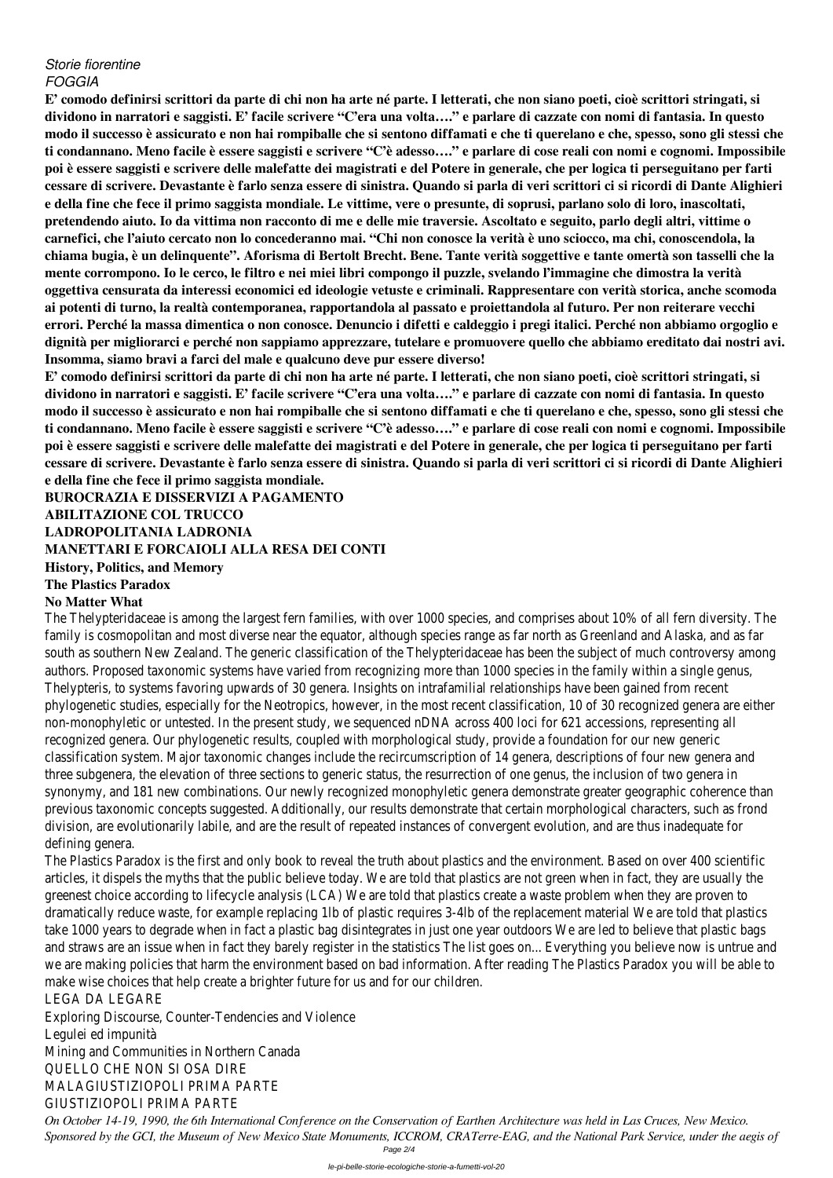## *Storie fiorentine FOGGIA*

**E' comodo definirsi scrittori da parte di chi non ha arte né parte. I letterati, che non siano poeti, cioè scrittori stringati, si dividono in narratori e saggisti. E' facile scrivere "C'era una volta…." e parlare di cazzate con nomi di fantasia. In questo modo il successo è assicurato e non hai rompiballe che si sentono diffamati e che ti querelano e che, spesso, sono gli stessi che ti condannano. Meno facile è essere saggisti e scrivere "C'è adesso…." e parlare di cose reali con nomi e cognomi. Impossibile poi è essere saggisti e scrivere delle malefatte dei magistrati e del Potere in generale, che per logica ti perseguitano per farti cessare di scrivere. Devastante è farlo senza essere di sinistra. Quando si parla di veri scrittori ci si ricordi di Dante Alighieri e della fine che fece il primo saggista mondiale. Le vittime, vere o presunte, di soprusi, parlano solo di loro, inascoltati, pretendendo aiuto. Io da vittima non racconto di me e delle mie traversie. Ascoltato e seguito, parlo degli altri, vittime o carnefici, che l'aiuto cercato non lo concederanno mai. "Chi non conosce la verità è uno sciocco, ma chi, conoscendola, la chiama bugia, è un delinquente". Aforisma di Bertolt Brecht. Bene. Tante verità soggettive e tante omertà son tasselli che la mente corrompono. Io le cerco, le filtro e nei miei libri compongo il puzzle, svelando l'immagine che dimostra la verità oggettiva censurata da interessi economici ed ideologie vetuste e criminali. Rappresentare con verità storica, anche scomoda ai potenti di turno, la realtà contemporanea, rapportandola al passato e proiettandola al futuro. Per non reiterare vecchi errori. Perché la massa dimentica o non conosce. Denuncio i difetti e caldeggio i pregi italici. Perché non abbiamo orgoglio e dignità per migliorarci e perché non sappiamo apprezzare, tutelare e promuovere quello che abbiamo ereditato dai nostri avi. Insomma, siamo bravi a farci del male e qualcuno deve pur essere diverso!**

The Thelypteridaceae is among the largest fern families, with over 1000 species, and comprise about 10% of all fern diversion and  $\alpha$ family is cosmopolitan and most diverse near the equator, although species range as far south as southern New Zealand. The generic classification of the Thelypteridaceae has been the subauthors. Proposed taxonomic systems have varied from recognizing more than 1000 sp Thelypteris, to systems favoring upwards of 30 genera. Insights on intrafamilial relatior phylogenetic studies, especially for the Neotropics, however, in the most recent classification, 10 non-monophyletic or untested. In the present study, we sequenced nDNA across 400 loci recognized genera. Our phylogenetic results, coupled with morphological study, provide classification system. Major taxonomic changes include the recircumscription of 14 gene three subgenera, the elevation of three sections to generic status, the resurrection of synonymy, and 181 new combinations. Our newly recognized monophyletic genera demo previous taxonomic concepts suggested. Additionally, our results demonstrate that cert division, are evolutionarily labile, and are the result of repeated instances of convergent defining genera.

**E' comodo definirsi scrittori da parte di chi non ha arte né parte. I letterati, che non siano poeti, cioè scrittori stringati, si dividono in narratori e saggisti. E' facile scrivere "C'era una volta…." e parlare di cazzate con nomi di fantasia. In questo modo il successo è assicurato e non hai rompiballe che si sentono diffamati e che ti querelano e che, spesso, sono gli stessi che ti condannano. Meno facile è essere saggisti e scrivere "C'è adesso…." e parlare di cose reali con nomi e cognomi. Impossibile poi è essere saggisti e scrivere delle malefatte dei magistrati e del Potere in generale, che per logica ti perseguitano per farti cessare di scrivere. Devastante è farlo senza essere di sinistra. Quando si parla di veri scrittori ci si ricordi di Dante Alighieri e della fine che fece il primo saggista mondiale.**

**BUROCRAZIA E DISSERVIZI A PAGAMENTO ABILITAZIONE COL TRUCCO LADROPOLITANIA LADRONIA MANETTARI E FORCAIOLI ALLA RESA DEI CONTI History, Politics, and Memory The Plastics Paradox**

## **No Matter What**

The Plastics Paradox is the first and only book to reveal the truth about plastics and the articles, it dispels the myths that the public believe today. We are told that plastics are greenest choice according to lifecycle analysis (LCA) We are told that plastics create a dramatically reduce waste, for example replacing 1lb of plastic requires 3-4lb of the rep take 1000 years to degrade when in fact a plastic bag disintegrates in just one year out and straws are an issue when in fact they barely register in the statistics The list goes we are making policies that harm the environment based on bad information. After reading make wise choices that help create a brighter future for us and for our children. LEGA DA LEGARE Exploring Discourse, Counter-Tendencies and Violence Legulei ed impunità Mining and Communities in Northern Canada QUELLO CHE NON SI OSA DIRE MALAGIUSTIZIOPOLI PRIMA PARTE GIUSTIZIOPOLI PRIMA PARTE *On October 14-19, 1990, the 6th International Conference on the Conservation of Earthen Architecture was held in Las Cruces, New Mexico. Sponsored by the GCI, the Museum of New Mexico State Monuments, ICCROM, CRATerre-EAG, and the National Park Service, under the aegis of*

Page 2/4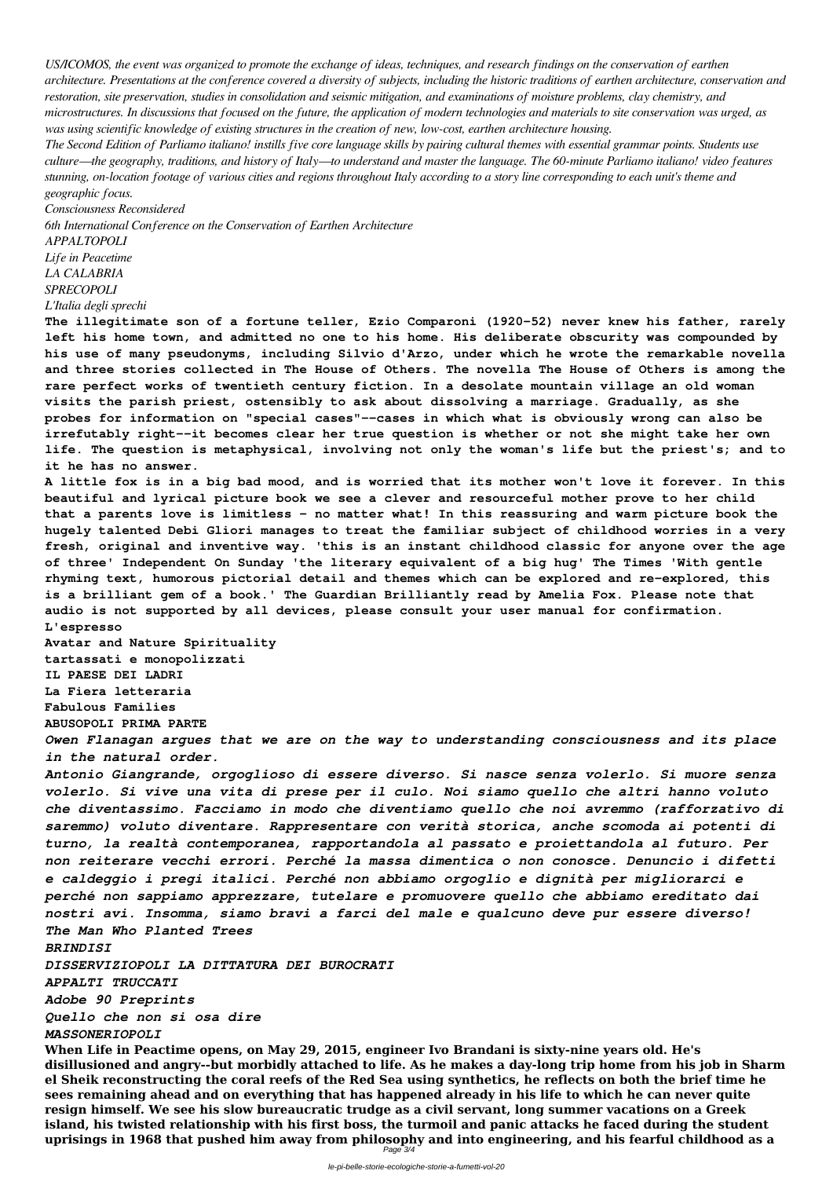*US/ICOMOS, the event was organized to promote the exchange of ideas, techniques, and research findings on the conservation of earthen architecture. Presentations at the conference covered a diversity of subjects, including the historic traditions of earthen architecture, conservation and restoration, site preservation, studies in consolidation and seismic mitigation, and examinations of moisture problems, clay chemistry, and microstructures. In discussions that focused on the future, the application of modern technologies and materials to site conservation was urged, as was using scientific knowledge of existing structures in the creation of new, low-cost, earthen architecture housing.*

*The Second Edition of Parliamo italiano! instills five core language skills by pairing cultural themes with essential grammar points. Students use culture—the geography, traditions, and history of Italy—to understand and master the language. The 60-minute Parliamo italiano! video features stunning, on-location footage of various cities and regions throughout Italy according to a story line corresponding to each unit's theme and geographic focus.*

*Consciousness Reconsidered*

*6th International Conference on the Conservation of Earthen Architecture*

*APPALTOPOLI*

*Life in Peacetime LA CALABRIA*

*SPRECOPOLI*

*L'Italia degli sprechi*

**The illegitimate son of a fortune teller, Ezio Comparoni (1920-52) never knew his father, rarely left his home town, and admitted no one to his home. His deliberate obscurity was compounded by his use of many pseudonyms, including Silvio d'Arzo, under which he wrote the remarkable novella and three stories collected in The House of Others. The novella The House of Others is among the rare perfect works of twentieth century fiction. In a desolate mountain village an old woman visits the parish priest, ostensibly to ask about dissolving a marriage. Gradually, as she probes for information on "special cases"--cases in which what is obviously wrong can also be irrefutably right--it becomes clear her true question is whether or not she might take her own life. The question is metaphysical, involving not only the woman's life but the priest's; and to it he has no answer.**

**A little fox is in a big bad mood, and is worried that its mother won't love it forever. In this beautiful and lyrical picture book we see a clever and resourceful mother prove to her child that a parents love is limitless - no matter what! In this reassuring and warm picture book the hugely talented Debi Gliori manages to treat the familiar subject of childhood worries in a very fresh, original and inventive way. 'this is an instant childhood classic for anyone over the age of three' Independent On Sunday 'the literary equivalent of a big hug' The Times 'With gentle rhyming text, humorous pictorial detail and themes which can be explored and re-explored, this is a brilliant gem of a book.' The Guardian Brilliantly read by Amelia Fox. Please note that audio is not supported by all devices, please consult your user manual for confirmation. L'espresso**

**Avatar and Nature Spirituality tartassati e monopolizzati IL PAESE DEI LADRI La Fiera letteraria Fabulous Families ABUSOPOLI PRIMA PARTE**

*Owen Flanagan argues that we are on the way to understanding consciousness and its place in the natural order.*

*Antonio Giangrande, orgoglioso di essere diverso. Si nasce senza volerlo. Si muore senza volerlo. Si vive una vita di prese per il culo. Noi siamo quello che altri hanno voluto che diventassimo. Facciamo in modo che diventiamo quello che noi avremmo (rafforzativo di saremmo) voluto diventare. Rappresentare con verità storica, anche scomoda ai potenti di turno, la realtà contemporanea, rapportandola al passato e proiettandola al futuro. Per non reiterare vecchi errori. Perché la massa dimentica o non conosce. Denuncio i difetti e caldeggio i pregi italici. Perché non abbiamo orgoglio e dignità per migliorarci e perché non sappiamo apprezzare, tutelare e promuovere quello che abbiamo ereditato dai nostri avi. Insomma, siamo bravi a farci del male e qualcuno deve pur essere diverso! The Man Who Planted Trees BRINDISI DISSERVIZIOPOLI LA DITTATURA DEI BUROCRATI APPALTI TRUCCATI Adobe 90 Preprints Quello che non si osa dire MASSONERIOPOLI* **When Life in Peactime opens, on May 29, 2015, engineer Ivo Brandani is sixty-nine years old. He's disillusioned and angry--but morbidly attached to life. As he makes a day-long trip home from his job in Sharm el Sheik reconstructing the coral reefs of the Red Sea using synthetics, he reflects on both the brief time he sees remaining ahead and on everything that has happened already in his life to which he can never quite resign himself. We see his slow bureaucratic trudge as a civil servant, long summer vacations on a Greek island, his twisted relationship with his first boss, the turmoil and panic attacks he faced during the student uprisings in 1968 that pushed him away from philosophy and into engineering, and his fearful childhood as a** Page 3/4